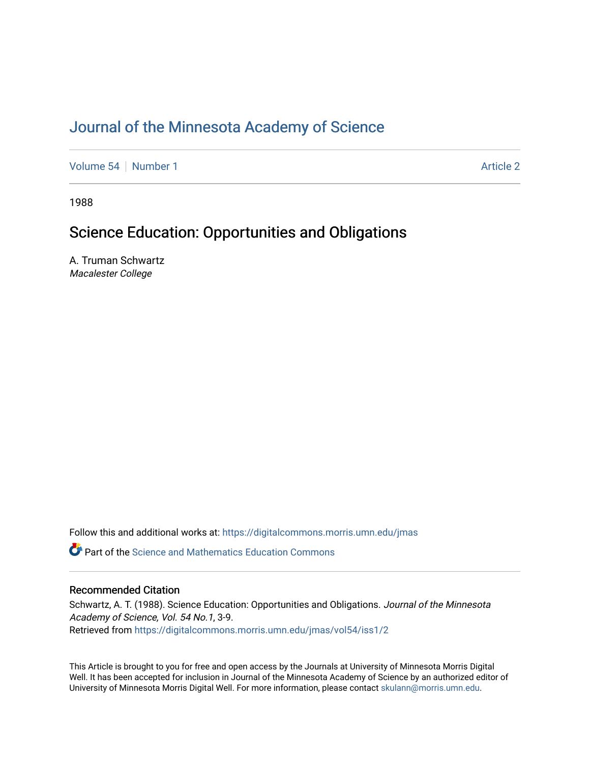# [Journal of the Minnesota Academy of Science](https://digitalcommons.morris.umn.edu/jmas)

[Volume 54](https://digitalcommons.morris.umn.edu/jmas/vol54) [Number 1](https://digitalcommons.morris.umn.edu/jmas/vol54/iss1) [Article 2](https://digitalcommons.morris.umn.edu/jmas/vol54/iss1/2) Article 2 Article 2 Article 2 Article 2 Article 2 Article 2

1988

# Science Education: Opportunities and Obligations

A. Truman Schwartz Macalester College

Follow this and additional works at: [https://digitalcommons.morris.umn.edu/jmas](https://digitalcommons.morris.umn.edu/jmas?utm_source=digitalcommons.morris.umn.edu%2Fjmas%2Fvol54%2Fiss1%2F2&utm_medium=PDF&utm_campaign=PDFCoverPages) 

 $\bullet$  Part of the Science and Mathematics Education Commons

# Recommended Citation

Schwartz, A. T. (1988). Science Education: Opportunities and Obligations. Journal of the Minnesota Academy of Science, Vol. 54 No.1, 3-9. Retrieved from [https://digitalcommons.morris.umn.edu/jmas/vol54/iss1/2](https://digitalcommons.morris.umn.edu/jmas/vol54/iss1/2?utm_source=digitalcommons.morris.umn.edu%2Fjmas%2Fvol54%2Fiss1%2F2&utm_medium=PDF&utm_campaign=PDFCoverPages)

This Article is brought to you for free and open access by the Journals at University of Minnesota Morris Digital Well. It has been accepted for inclusion in Journal of the Minnesota Academy of Science by an authorized editor of University of Minnesota Morris Digital Well. For more information, please contact [skulann@morris.umn.edu](mailto:skulann@morris.umn.edu).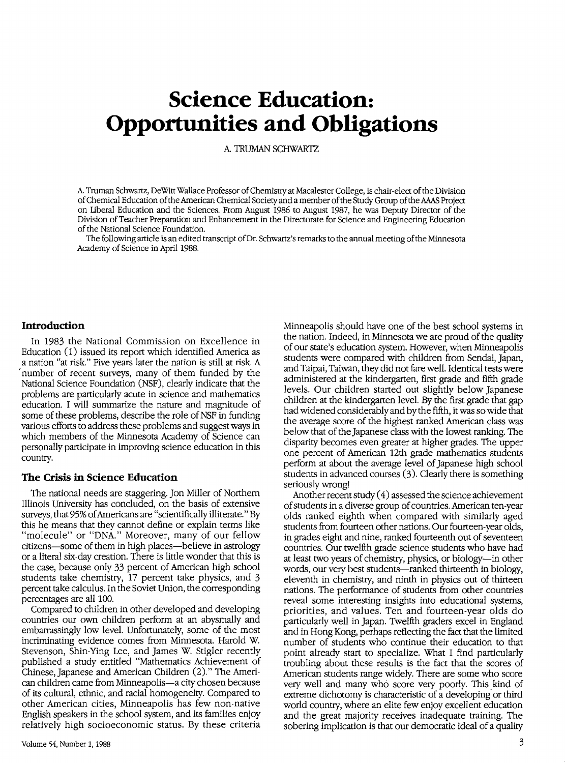# **Science Education: Opportunities and Obligations**

A TRIMAN SCHWARTZ

A Truman Schwartz, DeWitt Wallace Professor of Chemisuy at Macalester College, is chair-elect of the Division of Chemical Education of the American Chemical Society and a member of the Study Group of the MAS Project on liberal Education and the Sciences. From August 1986 to August 1987, he was Deputy Director of the Division of Teacher Preparation and Enhancement in the Directorate for Science and Engineering Education of the National Science Foundation.

The following article is an edited transcript of Dr. Schwartz's remarks to the annual meeting of the Minnesota Academy of Science in April 1988.

#### **Introduction**

In 1983 the National Commission on Excellence in Education (1) issued its report which identified America as a nation "at risk." Five years later the nation is still at risk. A 'number of recent surveys, many of them funded by the National Science Foundation (NSF), clearly indicate that the problems are particularly acute in science and mathematics education. I will summarize the nature and magnitude of some of these problems, describe the role of NSF in funding various efforts to address these problems and suggest ways in which members of the Minnesota Academy of Science can personally participate in improving science education in this country.

#### **The Crisis in Science Education**

The national needs are staggering. Jon Miller of Northern Illinois University has concluded, on the basis of extensive surveys, that 95% of Americans are "scientifically illiterate." By this he means that they cannot define or explain terms like "molecule" or "DNA." Moreover, many of our fellow citizens-some of them in high places-believe in astrology or a literal six-day creation. There is little wonder that this is the case, because only 33 percent of American high school students take chemistry, 17 percent take physics, and 3 percent take calculus. In the Soviet Union, the corresponding percentages are all 100.

Compared to children in other developed and developing countries our own children perform at an abysmally and embarrassingly low level. Unfortunately, some of the most incriminating evidence comes from Minnesota. Harold W. Stevenson, Shin-Ying Lee, and James W. Stigler recently published a study entitled "Mathematics Achievement of Chinese, Japanese and American Children (2)." The American children came from Minneapolis-a city chosen because of its cultural, ethnic, and racial homogeneity. Compared to other American cities, Minneapolis has few non-native English speakers in the school system, and its families enjoy relatively high socioeconomic status. By these criteria Minneapolis should have one of the best school systems in the nation. Indeed, in Minnesota we are proud of the quality of our state's education system. However, when Minneapolis students were compared with children from Sendai, Japan, and Taipai, Taiwan, they did not fare well. Identical tests were administered at the kindergarten, first grade and fifth grade levels. Our children started out slightly below Japanese children at the kindergarten level. By the first grade that gap had widened considerably and by the fifth, it was so wide that the average score of the highest ranked American class was below that of the Japanese class with the lowest ranking. The disparity becomes even greater at higher grades. The upper one percent of American 12th grade mathematics students perform at about the average level of Japanese high school students in advanced courses (3). Clearly there is something seriously wrong!

Another recent study  $(4)$  assessed the science achievement of students in a diverse group of countries. American ten-year olds ranked eighth when compared with similarly aged students from fourteen other nations. Our fourteen-year olds, in grades eight and nine, ranked fourteenth out of seventeen countries. Our twelfth grade science students who have had at least two years of chemistry, physics, or biology-in other words, our very best students—ranked thirteenth in biology, eleventh in chemistry, and ninth in physics out of thirteen nations. The performance of students from other countries reveal some interesting insights into educational systems, priorities, and values. Ten and fourteen-year olds do particularly well in Japan. Twelfth graders excel in England and in Hong Kong, perhaps reflecting the fact that the limited number of students who continue their education to that point already start to specialize. What I find particularly troubling about these results is the fact that the scores of American students range widely. There are some who score very well and many who score very poorly. This kind of extreme dichotomy is characteristic of a developing or third world country, where an elite few enjoy excellent education and the great majority receives inadequate training. The sobering implication is that our democratic ideal of a quality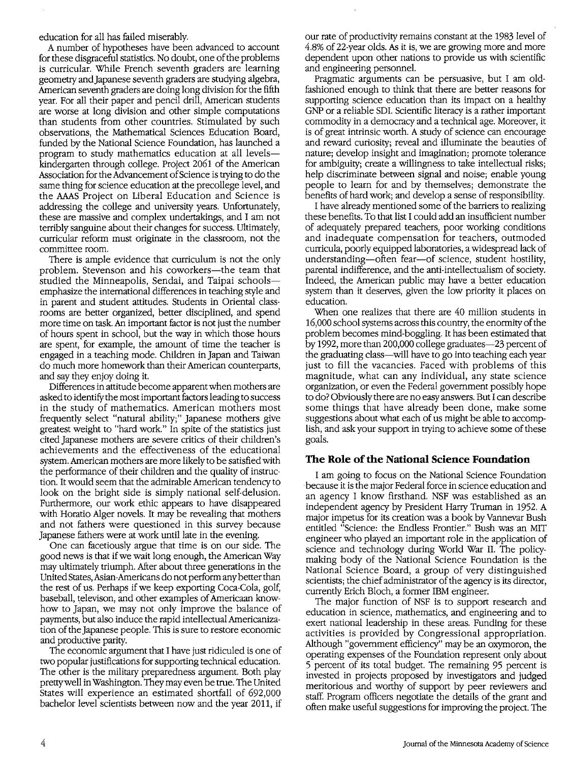education for all has failed miserably.

A number of hypotheses have been advanced to account for these disgraceful statistics. No doubt, one of the problems is curricular. While French seventh graders are learning geometry and Japanese seventh graders are studying algebra, American seventh graders are doing long division for the fifth year. For all their paper and pencil drill, American students are worse at long division and other simple computations than students from other countries. Stimulated by such observations, the Mathematical Sciences Education Board, funded by the National Science Foundation, has launched a program to study mathematics education at all levelskindergarten through college. Project 2061 of the American Association for the Advancement of Science is trying to do the same thing for science education at the precollege level, and the AAAS Project on Liberal Education and Science is addressing the college and university years. Unfortunately, these are massive and complex undertakings, and I am not terribly sanguine about their changes for success. Ultimately, curricular reform must originate in the classroom, not the committee room.

1bere is ample evidence that curriculum is not the only problem. Stevenson and his coworkers-the team that studied the Minneapolis, Sendai, and Taipai schoolsemphasize the international differences in teaching style and in parent and student attitudes. Students in Oriental classrooms are better organized, better disciplined, and spend more time on task. An important factor is not just the number of hours spent in school, but the way in which those hours are spent, for example, the amount of time the teacher is engaged in a teaching mode. Children in Japan and Taiwan do much more homework than their American counterparts, and say they enjoy doing it.

Differences in attitude become apparent when mothers are asked to identify the most important factors leading to success in the study of mathematics. American mothers most frequently select "natural ability;" Japanese mothers give greatest weight to "hard work." In spite of the statistics just cited Japanese mothers are severe critics of their children's achievements and the effectiveness of the educational system. American mothers are more likely to be satisfied with the performance of their children and the quality of instruction. It would seem that the admirable American tendency to look on the bright side is simply national self-delusion. Furthermore, our work ethic appears to have disappeared with Horatio Alger novels. It may be revealing that mothers and not fathers were questioned in this survey because Japanese fathers were at work until late in the evening.

One can facetiously argue that time is on our side. The good news is that if we wait long enough, the American Way may ultimately triumph. After about three generations in the United States,Asian-Americans do not perform any better than the rest of us. Perhaps if we keep exporting Coca-Cola, golf, baseball, televison, and other examples of Americaan knowhow to Japan, we may not only improve the balance of payments, but also induce the rapid intellectual Americanization of the Japanese people. This is sure to restore economic and productive parity.

The economic argument that I have just ridiculed is one of two popular justifications for supporting technical education. The other is the military preparedness argument. Both play pretty well in Washington. They may even be true. The United States will experience an estimated shortfall of 692,000 bachelor level scientists between now and the year 2011, if our rate of productivity remains constant at the 1983 level of 4.8% of 22-year olds. As it is, we are growing more and more dependent upon other nations to provide us with scientific and engineering personnel.

Pragmatic arguments can be persuasive, but I am oldfashioned enough to think that there are better reasons for supporting science education than its impact on a healthy GNP or a reliable SDI. Scientific literacy is a rather important commodity in a democracy and a technical age. Moreover, it is of great intrinsic worth. A study of science can encourage and reward curiosity; reveal and illuminate the beauties of nature; develop insight and imagination; promote tolerance for ambiguity; create a willingness to take intellectual risks; help discriminate between signal and noise; enable young people to learn for and by themselves; demonstrate the benefits of hard work; and develop a sense of responsibility.

I have already mentioned some of the barriers to realizing these benefits. To that list I could add an insufficient number of adequately prepared teachers, poor working conditions and inadequate compensation for teachers, outmoded curricula, poorly equipped laboratories, a widespread lack of understanding-often fear-of science, student hostility, parental indifference, and the anti-intellectualism of society. Indeed, the American public may have a better education system than it deserves, given the low priority it places on education.

When one realizes that there are 40 million students in 16,000 school systems across this country, the enormity of the problem becomes mind-boggling. It has been estimated that by 1992, more than 200,000 college graduates-23 percent of the graduating class-will have to go into teaching each year just to fill the vacancies. Faced with problems of this magnitude, what can any individual, any state science organization, or even the Federal government possibly hope to do? Obviously there are no easy answers. But I can describe some things that have already been done, make some suggestions about what each of us might be able to accomplish, and ask your support in trying to achieve some of these goals.

## **The Role of the National Science Foundation**

I am going to focus on the National Science Foundation · because it is the major Federal force in science education and an agency I know firsthand. NSF was established as an independent agency by President Harry Truman in 1952. A major impetus for its creation was a book by Vannevar Bush entitled "Science: the Endless Frontier." Bush was an MIT engineer who played an important role in the application of science and technology during World War II. The policymaking body of the National Science Foundation is the National Science Board, a group of very distinguished scientists; the chief administrator of the agency is its director, currently Erich Bloch, a former IBM engineer.

The major function of NSF is to support research and education in science, mathematics, and engineering and to exert national leadership in these areas. Funding for these activities is provided by Congressional appropriation. Although "government efficiency" may be an oxymoron, the operating expenses of the Foundation represent only about 5 percent of its total budget. The remaining 95 percent is invested in projects proposed by investigators and judged meritorious and worthy of support by peer reviewers and staff. Program officers negotiate the details of the grant and often make useful suggestions for improving the project. The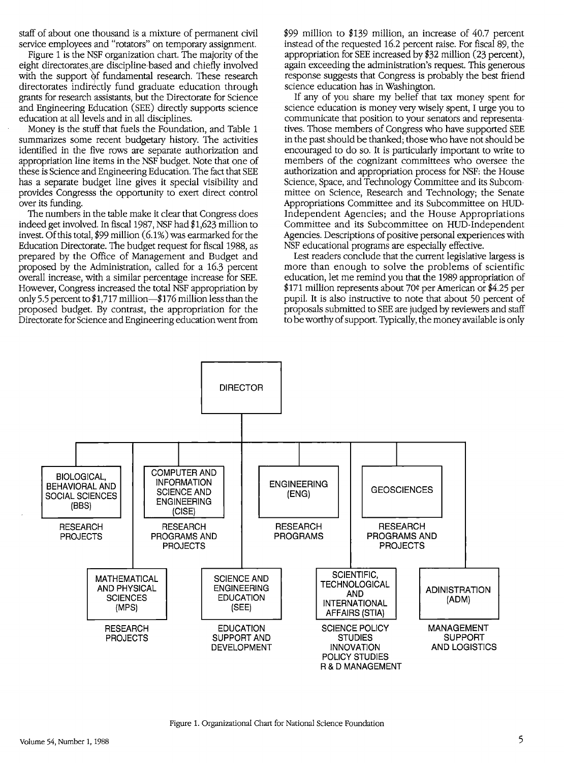staff of about one thousand is a mixture of permanent civil service employees and "rotators" on temporary assignment.

Figure 1 is the NSF organization chart. The majority of the eight directorates\are discipline-based and chiefly involved with the support of fundamental research. These research directorates indirectly fund graduate education through grants for research assistants, but the Directorate for Science and Engineering Education (SEE) directly supports science education at all levels and in all disciplines.

Money is the stuff that fuels the Foundation, and Table 1 summarizes some recent budgetary history. The activities identified in the five rows are separate authorization and appropriation line items in the NSF budget. Note that one of these is Science and Engineering Education. The fact that SEE has a separate budget line gives it special visibility and provides Congresss the opportunity to exert direct control over its funding.

The numbers in the table make it clear that Congress does indeed get involved. In fiscal 1987, NSF had \$1,623 million to invest. Of this total,  $$99$  million  $(6.1%)$  was earmarked for the Education Directorate. The budget request for fiscal 1988, as prepared by the Office of Management and Budget and proposed by the Administration, called for a 16.3 percent overall increase, with a similar percentage increase for SEE. However, Congress increased the total NSF appropriation by only 5.5 percent to \$1,717 million—\$176 million less than the proposed budget. By contrast, the appropriation for the Directorate for Science and Engineering education went from \$99 million to \$139 million, an increase of 40.7 percent instead of the requested 16.2 percent raise. For fiscal 89, the appropriation for SEE increased by \$32 million (23 percent), again exceeding the administration's request. This generous response suggests that Congress is probably the best friend science education has in Washington.

If any of you share my belief that tax money spent for science education is money very wisely spent, I urge you to communicate that position to your senators and representatives. Those members of Congress who have supported SEE in the past should be thanked; those who have not should be encouraged to do so. It is particularly important to write to members of the cognizant committees who oversee the authorization and appropriation process for NSF: the House Science, Space, and Technology Committee and its Subcommittee on Science, Research and Technology; the Senate Appropriations Committee and its Subcommittee on HUD-Independent Agencies; and the House Appropriations Committee and its Subcommittee on HUD-Independent Agencies. Descriptions of positive personal experiences with NSF educational programs are especially effective.

Lest readers conclude that the current legislative largess is more than enough to solve the problems of scientific education, let me remind you that the 1989 appropriation of \$171 million represents about 70¢ per American or \$4.25 per pupil. It is also instructive to note that about 50 percent of proposals submitted to SEE are judged by reviewers and staff to be worthy of support. Typically, the money available is only

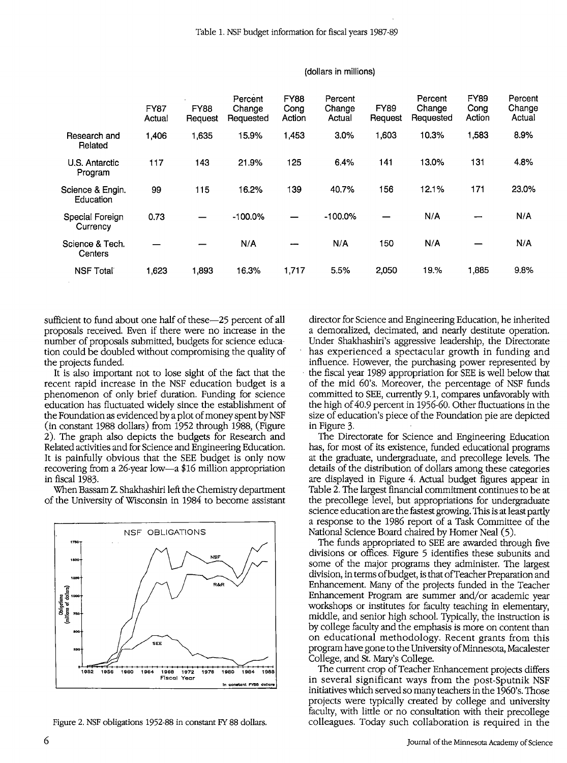|                               | <b>FY87</b><br>Actual | <b>FY88</b><br>Request | Percent<br>Change<br>Requested | <b>FY88</b><br>Cong<br>Action | Percent<br>Change<br>Actual | <b>FY89</b><br>Request | Percent<br>Change<br>Requested | <b>FY89</b><br>Cona<br>Action | Percent<br>Change<br>Actual |
|-------------------------------|-----------------------|------------------------|--------------------------------|-------------------------------|-----------------------------|------------------------|--------------------------------|-------------------------------|-----------------------------|
| Research and<br>Related       | 1,406                 | 1,635                  | 15.9%                          | 1,453                         | 3.0%                        | 1,603                  | 10.3%                          | 1,583                         | 8.9%                        |
| U.S. Antarctic<br>Program     | 117                   | 143                    | 21.9%                          | 125                           | 6.4%                        | 141                    | 13.0%                          | 131                           | 4.8%                        |
| Science & Engin.<br>Education | 99                    | 115                    | 16.2%                          | 139                           | 40.7%                       | 156                    | 12.1%                          | 171                           | 23.0%                       |
| Special Foreign<br>Currency   | 0.73                  |                        | $-100.0%$                      |                               | $-100.0%$                   |                        | N/A                            |                               | N/A                         |
| Science & Tech.<br>Centers    |                       |                        | N/A                            | --                            | N/A                         | 150                    | N/A                            |                               | N/A                         |
| <b>NSF Total</b>              | 1,623                 | 1,893                  | 16.3%                          | 1,717                         | 5.5%                        | 2,050                  | 19.%                           | 1,885                         | 9.8%                        |

#### (dollars in millions)

sufficient to fund about one half of these—25 percent of all proposals received. Even if there were no increase in the number of proposals submitted, budgets for science education could be doubled without compromising the quality of the projects funded.

It is also important not to lose sight of the fact that the recent rapid increase in the NSF education budget is a phenomenon of only brief duration. Funding for science education has fluctuated widely since the establishment of the Foundation as evidenced by a plot of money spent by NSF (in constant 1988 dollars) from 1952 through 1988, (Figure 2). The graph also depicts the budgets for Research and Related activities and for Science and Engineering Education. It is painfully obvious that the SEE budget is only now -recovering from a 26-year low-a \$16 million appropriation in fiscal 1983.

When Bassam Z. Shakhashiri left the Chemistry department of the University of Wisconsin in 1984 to become assistant



Figure 2. NSF obligations 1952-88 in constant FY 88 dollars.

director for Science and Engineering Education, he inherited a demoralized, decimated, and nearly destitute operation. Under Shakhashiri's aggressive leadership, the Directorate has experienced a spectacular growth in funding and influence. However, the purchasing power represented by the fiscal year 1989 appropriation for SEE is well below that of the mid 60's. Moreover, the percentage of NSF funds committed to SEE, currently 9.1, compares unfavorably with the high of 40.9 percent in 1956-60. Other fluctuations in the size of education's piece of the Foundation pie are depicted in Figure 3.

The Directorate for Science and Engineering Education has, for most of its existence, funded educational programs at the graduate, undergraduate, and precollege levels. The details of the distribution of dollars among these categories are displayed in Figure 4. Actual budget figures appear in Table 2. The largest financial commitment continues to be at the precollege level, but appropriations for undergraduate science education are the fastest growing. This is at least partly a response to the 1986 report of a Task Committee of the National Science Board chaired by Homer Neal (5).

The funds appropriated to SEE are awarded through five divisions or offices. Figure 5 identifies these subunits and some of the major programs they administer. The largest division, in terms of budget, is that of Teacher Preparation and Enhancement. Many of the projects funded in the Teacher Enhancement Program are summer and/or academic year workshops or institutes for faculty teaching in elementary, middle, and senior high school. Typically, the instruction is by college faculty and the emphasis is more on content than on educational methodology. Recent grants from this program have gone to the University of Minnesota, Macalester College, and St. Mary's College.

The current crop of Teacher Enhancement projects differs in several significant ways from the post-Sputnik NSF initiatives which served so many teachers in the 1960's. Those projects were typically created by college and university faculty, with little or no consultation with their precollege colleagues. Today such collaboration is required in the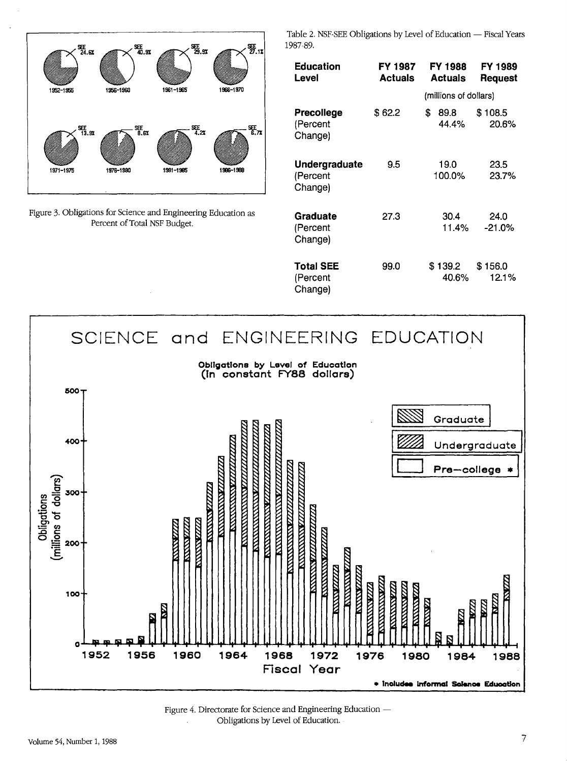

Figure 3. Obligations for Science and Engineering Education as Percent of Total NSF Budget.

Table 2. NSF-SEE Obligations by Level of Education - Fiscal Years 1987-89.

| <b>Education</b><br>Level               | FY 1987<br><b>Actuals</b> | FY 1988<br><b>Actuals</b> | FY 1989<br><b>Request</b> |  |
|-----------------------------------------|---------------------------|---------------------------|---------------------------|--|
|                                         |                           | (millions of dollars)     |                           |  |
| Precollege<br>(Percent<br>Change)       | \$ 62.2                   | \$<br>89.8<br>44.4%       | \$108.5<br>20.6%          |  |
| Undergraduate<br>(Percent<br>Change)    | 9.5                       | 19.0<br>100.0%            | 23.5<br>23.7%             |  |
| Graduate<br>(Percent<br>Change)         | 27.3                      | 30.4<br>11.4%             | 24.0<br>$-21.0\%$         |  |
| <b>Total SEE</b><br>(Percent<br>Change) | 99.0                      | \$ 139.2<br>40.6%         | \$156.0<br>12.1%          |  |



Figure 4. Directorate for Science and Engineering Education -Obligations by Level of Education.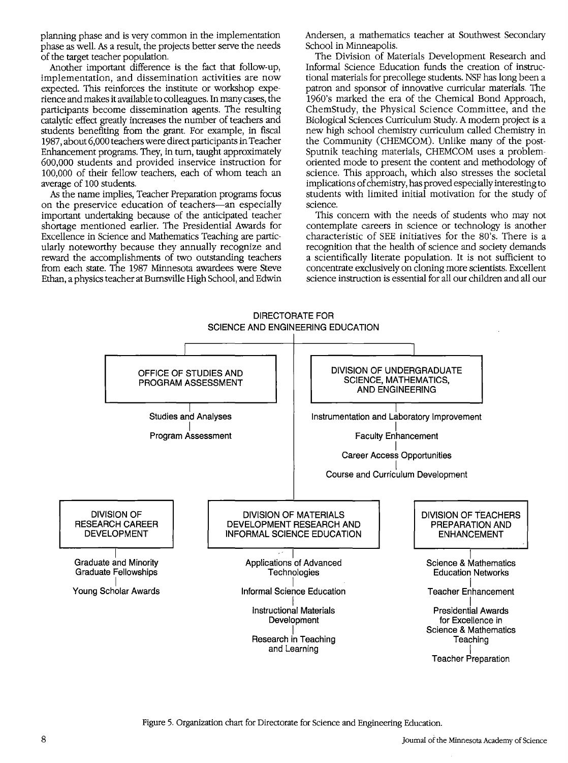planning phase and is very common in the implementation phase as well. *As* a result, the projects better serve the needs of the target teacher population.

Another important difference is the fact that follow-up, implementation, and dissemination activities are now expected. This reinforces the institute or workshop experience and makes it available to colleagues. In many cases, the participants become dissemination agents. The resulting catalytic effect greatly increases the number of teachers and students benefiting from the grant. For example, in fiscal 1987, about 6,000 teachers were direct participants in Teacher Enhancement programs. They, in tum, taught approximately 600,000 students and provided inservice instruction for 100,000 of their fellow teachers, each of whom teach an average of 100 students.

*As* the name implies, Teacher Preparation programs focus on the preservice education of teachers-an especially important undertaking because of the anticipated teacher shortage mentioned earlier. The Presidential Awards for Excellence in Science and Mathematics Teaching are particularly noteworthy because they annually recognize and reward the accomplishments of two outstanding teachers from each state. The 1987 Minnesota awardees were Steve Ethan, a physics teacher at Burnsville High School, and Edwin Andersen, a mathematics teacher at Southwest Secondary School in Minneapolis.

The Division of Materials Development Research and Informal Science Education funds the creation of instructional materials for precollege students. NSF has long been a patron and sponsor of innovative curricular materials. The 1960's marked the era of the Chemical Bond Approach, ChemStudy, the Physical Science Committee, and the Biological Sciences Curriculum Study. A modem project is a new high school chemistry curriculum called Chemistry in the Community (CHEMCOM). Unlike many of the post-Sputnik teaching materials, CHEMCOM uses a problemoriented mode to present the content and methodology of science. This approach, which also stresses the societal implications of chemistry, has proved especially interesting to students with limited initial motivation for the study of science.

This concern with the needs of students who may not contemplate careers in science or technology is another characteristic of SEE initiatives for the 80's. There is a recognition that the health of science and society demands a scientifically literate population. It is not sufficient to concentrate exclusively on cloning more scientists. Excellent science instruction is essential for all our children and all our